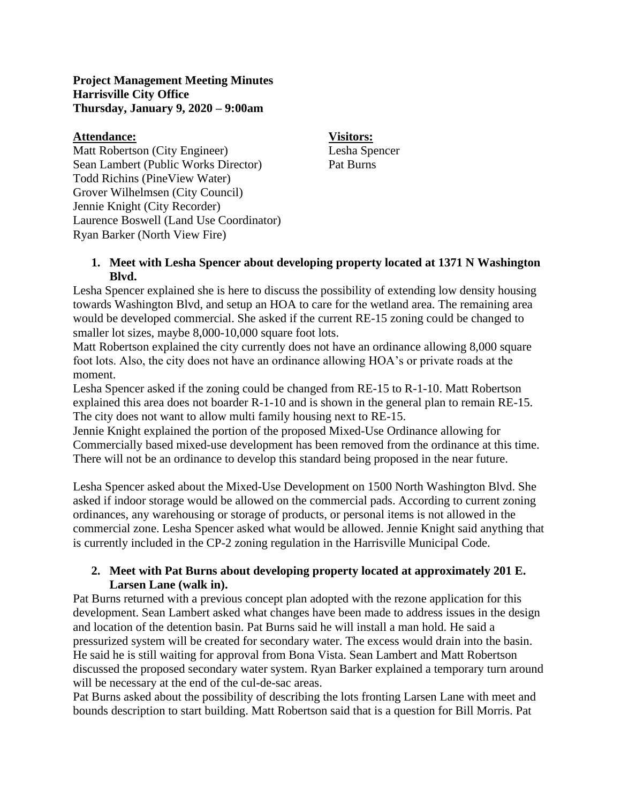## **Project Management Meeting Minutes Harrisville City Office Thursday, January 9, 2020 – 9:00am**

## **Attendance: Visitors:**

Matt Robertson (City Engineer) Lesha Spencer Sean Lambert (Public Works Director) Pat Burns Todd Richins (PineView Water) Grover Wilhelmsen (City Council) Jennie Knight (City Recorder) Laurence Boswell (Land Use Coordinator) Ryan Barker (North View Fire)

**1. Meet with Lesha Spencer about developing property located at 1371 N Washington Blvd.** 

Lesha Spencer explained she is here to discuss the possibility of extending low density housing towards Washington Blvd, and setup an HOA to care for the wetland area. The remaining area would be developed commercial. She asked if the current RE-15 zoning could be changed to smaller lot sizes, maybe 8,000-10,000 square foot lots.

Matt Robertson explained the city currently does not have an ordinance allowing 8,000 square foot lots. Also, the city does not have an ordinance allowing HOA's or private roads at the moment.

Lesha Spencer asked if the zoning could be changed from RE-15 to R-1-10. Matt Robertson explained this area does not boarder R-1-10 and is shown in the general plan to remain RE-15. The city does not want to allow multi family housing next to RE-15.

Jennie Knight explained the portion of the proposed Mixed-Use Ordinance allowing for Commercially based mixed-use development has been removed from the ordinance at this time. There will not be an ordinance to develop this standard being proposed in the near future.

Lesha Spencer asked about the Mixed-Use Development on 1500 North Washington Blvd. She asked if indoor storage would be allowed on the commercial pads. According to current zoning ordinances, any warehousing or storage of products, or personal items is not allowed in the commercial zone. Lesha Spencer asked what would be allowed. Jennie Knight said anything that is currently included in the CP-2 zoning regulation in the Harrisville Municipal Code.

## **2. Meet with Pat Burns about developing property located at approximately 201 E. Larsen Lane (walk in).**

Pat Burns returned with a previous concept plan adopted with the rezone application for this development. Sean Lambert asked what changes have been made to address issues in the design and location of the detention basin. Pat Burns said he will install a man hold. He said a pressurized system will be created for secondary water. The excess would drain into the basin. He said he is still waiting for approval from Bona Vista. Sean Lambert and Matt Robertson discussed the proposed secondary water system. Ryan Barker explained a temporary turn around will be necessary at the end of the cul-de-sac areas.

Pat Burns asked about the possibility of describing the lots fronting Larsen Lane with meet and bounds description to start building. Matt Robertson said that is a question for Bill Morris. Pat